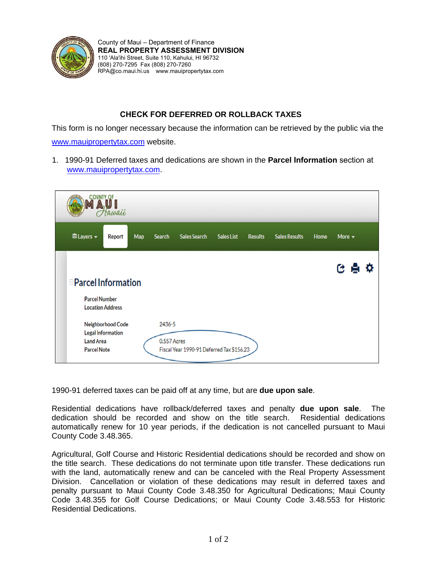

County of Maui – Department of Finance **REAL PROPERTY ASSESSMENT DIVISION** 110 'Ala'ihi Street, Suite 110, Kahului, HI 96732 (808) 270-7295 Fax (808) 270-7260 RPA@co.maui.hi.us [www.mauipropertytax.com](https://qpublic.net/hi/maui/)

## **CHECK FOR DEFERRED OR ROLLBACK TAXES**

This form is no longer necessary because the information can be retrieved by the public via the [www.mauipropertytax.com](https://qpublic.net/hi/maui/) website.

1. 1990-91 Deferred taxes and dedications are shown in the **Parcel Information** section at [www.mauipropertytax.com.](https://qpublic.net/hi/maui/)

| OUNTY OF<br>awaii |                                                                                              |                                                                          |     |                       |                                           |                   |                |                      |      |                           |  |
|-------------------|----------------------------------------------------------------------------------------------|--------------------------------------------------------------------------|-----|-----------------------|-------------------------------------------|-------------------|----------------|----------------------|------|---------------------------|--|
|                   | <b><i><u></u></i></b> Ulayers <del>v</del>                                                   | Report                                                                   | Map | <b>Search</b>         | <b>Sales Search</b>                       | <b>Sales List</b> | <b>Results</b> | <b>Sales Results</b> | Home | More $\blacktriangledown$ |  |
|                   | <b>EParcel Information</b><br><b>Parcel Number</b><br><b>Land Area</b><br><b>Parcel Note</b> | <b>Location Address</b><br>Neighborhood Code<br><b>Legal Information</b> |     | 2436-5<br>0.557 Acres | Fiscal Year 1990-91 Deferred Tax \$156.23 |                   |                |                      |      | ее<br>o                   |  |

1990-91 deferred taxes can be paid off at any time, but are **due upon sale**.

Residential dedications have rollback/deferred taxes and penalty **due upon sale**. The dedication should be recorded and show on the title search. Residential dedications automatically renew for 10 year periods, if the dedication is not cancelled pursuant to Maui County Code 3.48.365.

Agricultural, Golf Course and Historic Residential dedications should be recorded and show on the title search. These dedications do not terminate upon title transfer. These dedications run with the land, automatically renew and can be canceled with the Real Property Assessment Division. Cancellation or violation of these dedications may result in deferred taxes and penalty pursuant to Maui County Code 3.48.350 for Agricultural Dedications; Maui County Code 3.48.355 for Golf Course Dedications; or Maui County Code 3.48.553 for Historic Residential Dedications.